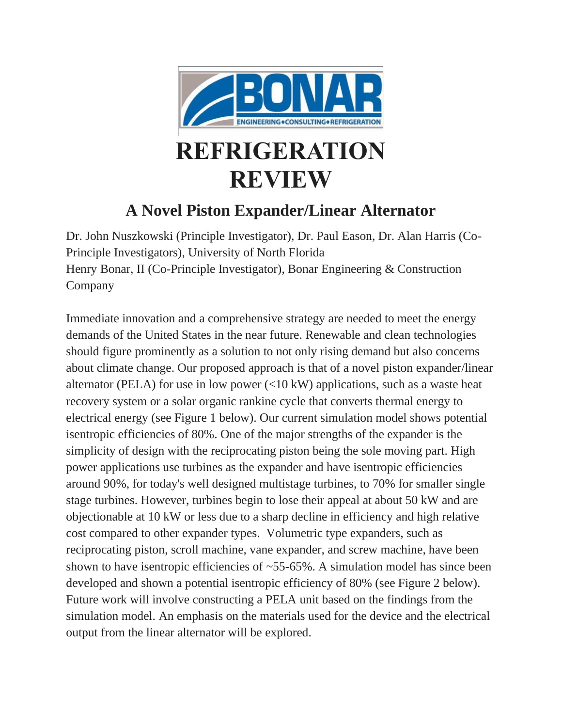

## **REFRIGERATION REVIEW**

## **A Novel Piston Expander/Linear Alternator**

Dr. John Nuszkowski (Principle Investigator), Dr. Paul Eason, Dr. Alan Harris (Co-Principle Investigators), University of North Florida Henry Bonar, II (Co-Principle Investigator), Bonar Engineering & Construction Company

Immediate innovation and a comprehensive strategy are needed to meet the energy demands of the United States in the near future. Renewable and clean technologies should figure prominently as a solution to not only rising demand but also concerns about climate change. Our proposed approach is that of a novel piston expander/linear alternator (PELA) for use in low power  $\langle$  <10 kW) applications, such as a waste heat recovery system or a solar organic rankine cycle that converts thermal energy to electrical energy (see Figure 1 below). Our current simulation model shows potential isentropic efficiencies of 80%. One of the major strengths of the expander is the simplicity of design with the reciprocating piston being the sole moving part. High power applications use turbines as the expander and have isentropic efficiencies around 90%, for today's well designed multistage turbines, to 70% for smaller single stage turbines. However, turbines begin to lose their appeal at about 50 kW and are objectionable at 10 kW or less due to a sharp decline in efficiency and high relative cost compared to other expander types. Volumetric type expanders, such as reciprocating piston, scroll machine, vane expander, and screw machine, have been shown to have isentropic efficiencies of  $\sim$  55-65%. A simulation model has since been developed and shown a potential isentropic efficiency of 80% (see Figure 2 below). Future work will involve constructing a PELA unit based on the findings from the simulation model. An emphasis on the materials used for the device and the electrical output from the linear alternator will be explored.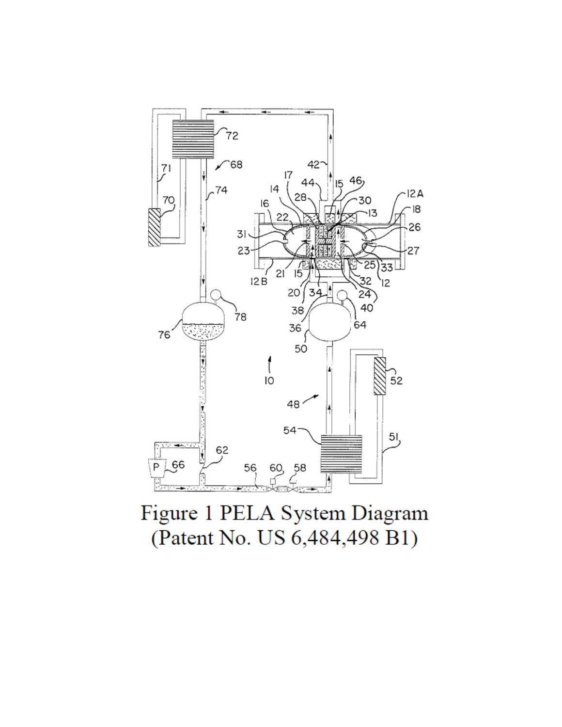

Figure 1 PELA System Diagram (Patent No. US 6,484,498 B1)